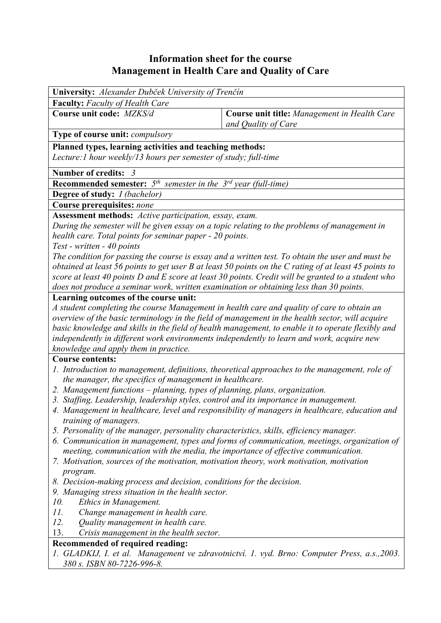## **Information sheet for the course Management in Health Care and Quality of Care**

| University: Alexander Dubček University of Trenčín                                                                               |                                                                                                       |  |  |  |  |  |
|----------------------------------------------------------------------------------------------------------------------------------|-------------------------------------------------------------------------------------------------------|--|--|--|--|--|
| <b>Faculty:</b> Faculty of Health Care                                                                                           |                                                                                                       |  |  |  |  |  |
| Course unit code: MZKS/d                                                                                                         | Course unit title: Management in Health Care<br>and Quality of Care                                   |  |  |  |  |  |
| Type of course unit: compulsory                                                                                                  |                                                                                                       |  |  |  |  |  |
| Planned types, learning activities and teaching methods:<br>Lecture: 1 hour weekly/13 hours per semester of study; full-time     |                                                                                                       |  |  |  |  |  |
| Number of credits: 3                                                                                                             |                                                                                                       |  |  |  |  |  |
| <b>Recommended semester:</b> $5^{th}$ semester in the $3^{rd}$ year (full-time)                                                  |                                                                                                       |  |  |  |  |  |
| Degree of study: <i>I (bachelor)</i>                                                                                             |                                                                                                       |  |  |  |  |  |
| <b>Course prerequisites: none</b>                                                                                                |                                                                                                       |  |  |  |  |  |
| Assessment methods: Active participation, essay, exam.                                                                           |                                                                                                       |  |  |  |  |  |
|                                                                                                                                  | During the semester will be given essay on a topic relating to the problems of management in          |  |  |  |  |  |
| health care. Total points for seminar paper - 20 points.                                                                         |                                                                                                       |  |  |  |  |  |
| Test - written - 40 points                                                                                                       |                                                                                                       |  |  |  |  |  |
|                                                                                                                                  | The condition for passing the course is essay and a written test. To obtain the user and must be      |  |  |  |  |  |
|                                                                                                                                  | obtained at least 56 points to get user B at least 50 points on the C rating of at least 45 points to |  |  |  |  |  |
|                                                                                                                                  | score at least 40 points D and E score at least 30 points. Credit will be granted to a student who    |  |  |  |  |  |
| does not produce a seminar work, written examination or obtaining less than 30 points.                                           |                                                                                                       |  |  |  |  |  |
| Learning outcomes of the course unit:                                                                                            |                                                                                                       |  |  |  |  |  |
| A student completing the course Management in health care and quality of care to obtain an                                       |                                                                                                       |  |  |  |  |  |
|                                                                                                                                  | overview of the basic terminology in the field of management in the health sector, will acquire       |  |  |  |  |  |
|                                                                                                                                  | basic knowledge and skills in the field of health management, to enable it to operate flexibly and    |  |  |  |  |  |
| independently in different work environments independently to learn and work, acquire new                                        |                                                                                                       |  |  |  |  |  |
| knowledge and apply them in practice.                                                                                            |                                                                                                       |  |  |  |  |  |
| <b>Course contents:</b>                                                                                                          |                                                                                                       |  |  |  |  |  |
|                                                                                                                                  | 1. Introduction to management, definitions, theoretical approaches to the management, role of         |  |  |  |  |  |
| the manager, the specifics of management in healthcare.                                                                          |                                                                                                       |  |  |  |  |  |
| 2. Management functions – planning, types of planning, plans, organization.                                                      |                                                                                                       |  |  |  |  |  |
| 3. Staffing, Leadership, leadership styles, control and its importance in management.                                            |                                                                                                       |  |  |  |  |  |
|                                                                                                                                  | 4. Management in healthcare, level and responsibility of managers in healthcare, education and        |  |  |  |  |  |
| <i>training of managers.</i>                                                                                                     |                                                                                                       |  |  |  |  |  |
| 5. Personality of the manager, personality characteristics, skills, efficiency manager.                                          |                                                                                                       |  |  |  |  |  |
|                                                                                                                                  | 6. Communication in management, types and forms of communication, meetings, organization of           |  |  |  |  |  |
| meeting, communication with the media, the importance of effective communication.                                                |                                                                                                       |  |  |  |  |  |
| 7. Motivation, sources of the motivation, motivation theory, work motivation, motivation                                         |                                                                                                       |  |  |  |  |  |
| program.                                                                                                                         |                                                                                                       |  |  |  |  |  |
| 8. Decision-making process and decision, conditions for the decision.                                                            |                                                                                                       |  |  |  |  |  |
| 9. Managing stress situation in the health sector.<br>10.<br>Ethics in Management.                                               |                                                                                                       |  |  |  |  |  |
| 11.<br>Change management in health care.                                                                                         |                                                                                                       |  |  |  |  |  |
| 12.<br>Quality management in health care.                                                                                        |                                                                                                       |  |  |  |  |  |
| 13.<br>Crisis management in the health sector.                                                                                   |                                                                                                       |  |  |  |  |  |
|                                                                                                                                  |                                                                                                       |  |  |  |  |  |
| Recommended of required reading:<br>1. GLADKIJ, I. et al. Management ve zdravotnictví. 1. vyd. Brno: Computer Press, a.s., 2003. |                                                                                                       |  |  |  |  |  |
| 380 s. ISBN 80-7226-996-8.                                                                                                       |                                                                                                       |  |  |  |  |  |
|                                                                                                                                  |                                                                                                       |  |  |  |  |  |